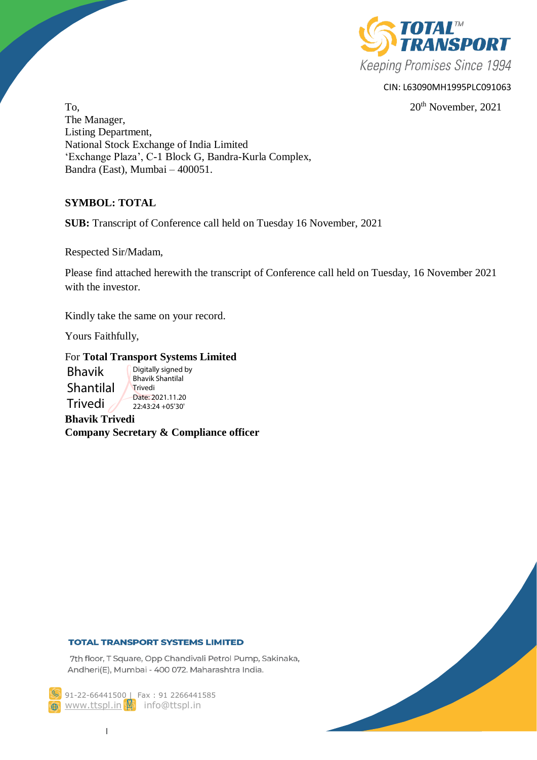

## CIN: L63090MH1995PLC091063

 $20<sup>th</sup>$  November,  $2021$ The Manager, Listing Department, National Stock Exchange of India Limited 'Exchange Plaza', C-1 Block G, Bandra-Kurla Complex, Bandra (East), Mumbai – 400051.

# **SYMBOL: TOTAL**

**SUB:** Transcript of Conference call held on Tuesday 16 November, 2021

Respected Sir/Madam,

Please find attached herewith the transcript of Conference call held on Tuesday, 16 November 2021 with the investor

Kindly take the same on your record.

Yours Faithfully,

# For **Total Transport Systems Limited**

Bhavik Shantilal Trivedi Digitally signed by Bhavik Shantilal **Trivedi** Date: 2021.11.20 22:43:24 +05'30'

**Bhavik Trivedi Company Secretary & Compliance officer**

## **TOTAL TRANSPORT SYSTEMS LIMITED**

7th floor, T Square, Opp Chandivali Petrol Pump, Sakinaka, Andheri(E), Mumbai - 400 072. Maharashtra India.

91-22-66441500 | Fax: 91 2266441585 **@** [www.ttspl.in](http://www.ttspl.in/) **\$** info@ttspl.in

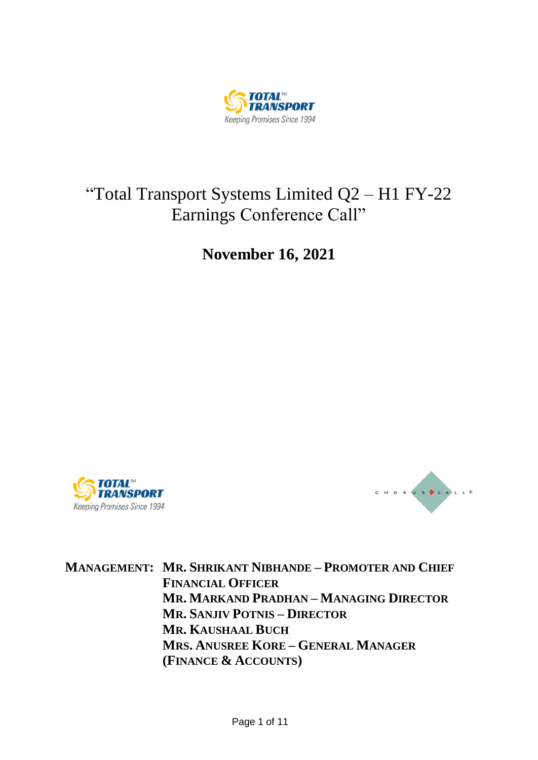

# "Total Transport Systems Limited Q2 – H1 FY-22 Earnings Conference Call"

**November 16, 2021**





**MANAGEMENT: MR. SHRIKANT NIBHANDE – PROMOTER AND CHIEF FINANCIAL OFFICER MR. MARKAND PRADHAN – MANAGING DIRECTOR MR. SANJIV POTNIS – DIRECTOR MR. KAUSHAAL BUCH MRS. ANUSREE KORE – GENERAL MANAGER (FINANCE & ACCOUNTS)**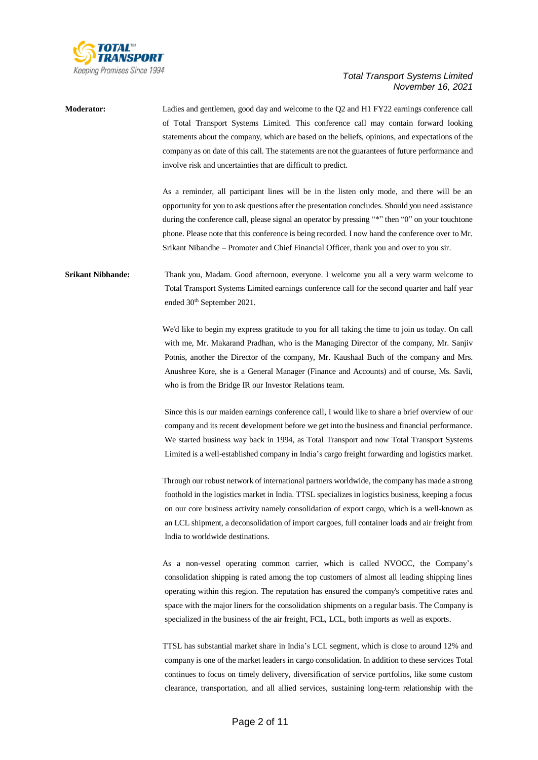

**Moderator:** Ladies and gentlemen, good day and welcome to the Q2 and H1 FY22 earnings conference call of Total Transport Systems Limited. This conference call may contain forward looking statements about the company, which are based on the beliefs, opinions, and expectations of the company as on date of this call. The statements are not the guarantees of future performance and involve risk and uncertainties that are difficult to predict.

> As a reminder, all participant lines will be in the listen only mode, and there will be an opportunity for you to ask questions after the presentation concludes. Should you need assistance during the conference call, please signal an operator by pressing "\*" then "0" on your touchtone phone. Please note that this conference is being recorded. I now hand the conference over to Mr. Srikant Nibandhe – Promoter and Chief Financial Officer, thank you and over to you sir.

**Srikant Nibhande:** Thank you, Madam. Good afternoon, everyone. I welcome you all a very warm welcome to Total Transport Systems Limited earnings conference call for the second quarter and half year ended 30<sup>th</sup> September 2021.

> We'd like to begin my express gratitude to you for all taking the time to join us today. On call with me, Mr. Makarand Pradhan, who is the Managing Director of the company, Mr. Sanjiv Potnis, another the Director of the company, Mr. Kaushaal Buch of the company and Mrs. Anushree Kore, she is a General Manager (Finance and Accounts) and of course, Ms. Savli, who is from the Bridge IR our Investor Relations team.

> Since this is our maiden earnings conference call, I would like to share a brief overview of our company and its recent development before we get into the business and financial performance. We started business way back in 1994, as Total Transport and now Total Transport Systems Limited is a well-established company in India's cargo freight forwarding and logistics market.

> Through our robust network of international partners worldwide, the company has made a strong foothold in the logistics market in India. TTSL specializes in logistics business, keeping a focus on our core business activity namely consolidation of export cargo, which is a well-known as an LCL shipment, a deconsolidation of import cargoes, full container loads and air freight from India to worldwide destinations.

> As a non-vessel operating common carrier, which is called NVOCC, the Company's consolidation shipping is rated among the top customers of almost all leading shipping lines operating within this region. The reputation has ensured the company's competitive rates and space with the major liners for the consolidation shipments on a regular basis. The Company is specialized in the business of the air freight, FCL, LCL, both imports as well as exports.

> TTSL has substantial market share in India's LCL segment, which is close to around 12% and company is one of the market leaders in cargo consolidation. In addition to these services Total continues to focus on timely delivery, diversification of service portfolios, like some custom clearance, transportation, and all allied services, sustaining long-term relationship with the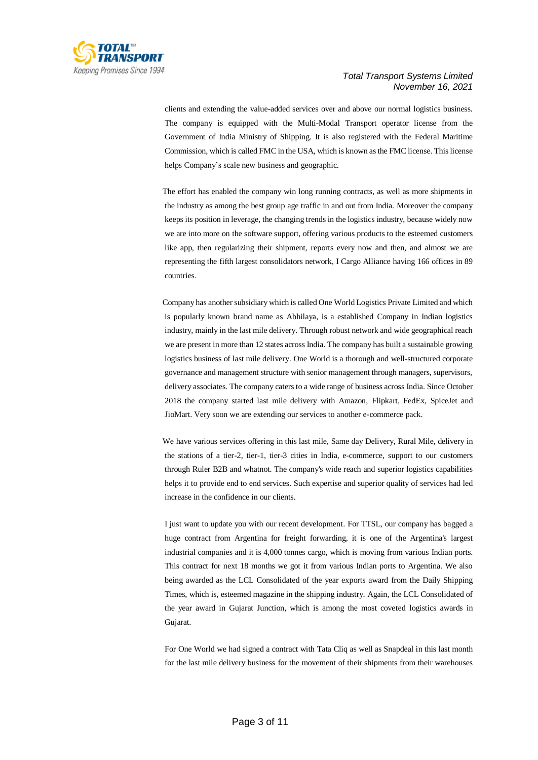

clients and extending the value-added services over and above our normal logistics business. The company is equipped with the Multi-Modal Transport operator license from the Government of India Ministry of Shipping. It is also registered with the Federal Maritime Commission, which is called FMC in the USA, which is known as the FMC license. This license helps Company's scale new business and geographic.

The effort has enabled the company win long running contracts, as well as more shipments in the industry as among the best group age traffic in and out from India. Moreover the company keeps its position in leverage, the changing trends in the logistics industry, because widely now we are into more on the software support, offering various products to the esteemed customers like app, then regularizing their shipment, reports every now and then, and almost we are representing the fifth largest consolidators network, I Cargo Alliance having 166 offices in 89 countries.

Company has another subsidiary which is called One World Logistics Private Limited and which is popularly known brand name as Abhilaya, is a established Company in Indian logistics industry, mainly in the last mile delivery. Through robust network and wide geographical reach we are present in more than 12 states across India. The company has built a sustainable growing logistics business of last mile delivery. One World is a thorough and well-structured corporate governance and management structure with senior management through managers, supervisors, delivery associates. The company caters to a wide range of business across India. Since October 2018 the company started last mile delivery with Amazon, Flipkart, FedEx, SpiceJet and JioMart. Very soon we are extending our services to another e-commerce pack.

We have various services offering in this last mile, Same day Delivery, Rural Mile, delivery in the stations of a tier-2, tier-1, tier-3 cities in India, e-commerce, support to our customers through Ruler B2B and whatnot. The company's wide reach and superior logistics capabilities helps it to provide end to end services. Such expertise and superior quality of services had led increase in the confidence in our clients.

I just want to update you with our recent development. For TTSL, our company has bagged a huge contract from Argentina for freight forwarding, it is one of the Argentina's largest industrial companies and it is 4,000 tonnes cargo, which is moving from various Indian ports. This contract for next 18 months we got it from various Indian ports to Argentina. We also being awarded as the LCL Consolidated of the year exports award from the Daily Shipping Times, which is, esteemed magazine in the shipping industry. Again, the LCL Consolidated of the year award in Gujarat Junction, which is among the most coveted logistics awards in Gujarat.

For One World we had signed a contract with Tata Cliq as well as Snapdeal in this last month for the last mile delivery business for the movement of their shipments from their warehouses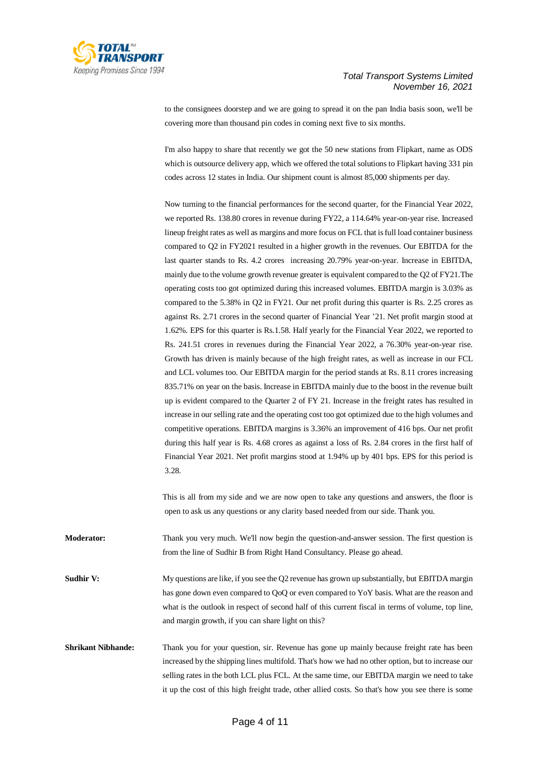

to the consignees doorstep and we are going to spread it on the pan India basis soon, we'll be covering more than thousand pin codes in coming next five to six months.

I'm also happy to share that recently we got the 50 new stations from Flipkart, name as ODS which is outsource delivery app, which we offered the total solutions to Flipkart having 331 pin codes across 12 states in India. Our shipment count is almost 85,000 shipments per day.

Now turning to the financial performances for the second quarter, for the Financial Year 2022, we reported Rs. 138.80 crores in revenue during FY22, a 114.64% year-on-year rise. Increased lineup freight rates as well as margins and more focus on FCL that isfull load container business compared to Q2 in FY2021 resulted in a higher growth in the revenues. Our EBITDA for the last quarter stands to Rs. 4.2 crores increasing 20.79% year-on-year. Increase in EBITDA, mainly due to the volume growth revenue greater is equivalent compared to the Q2 of FY21.The operating costs too got optimized during this increased volumes. EBITDA margin is 3.03% as compared to the 5.38% in Q2 in FY21. Our net profit during this quarter is Rs. 2.25 crores as against Rs. 2.71 crores in the second quarter of Financial Year '21. Net profit margin stood at 1.62%. EPS for this quarter is Rs.1.58. Half yearly for the Financial Year 2022, we reported to Rs. 241.51 crores in revenues during the Financial Year 2022, a 76.30% year-on-year rise. Growth has driven is mainly because of the high freight rates, as well as increase in our FCL and LCL volumes too. Our EBITDA margin for the period stands at Rs. 8.11 crores increasing 835.71% on year on the basis. Increase in EBITDA mainly due to the boost in the revenue built up is evident compared to the Quarter 2 of FY 21. Increase in the freight rates has resulted in increase in our selling rate and the operating cost too got optimized due to the high volumes and competitive operations. EBITDA margins is 3.36% an improvement of 416 bps. Our net profit during this half year is Rs. 4.68 crores as against a loss of Rs. 2.84 crores in the first half of Financial Year 2021. Net profit margins stood at 1.94% up by 401 bps. EPS for this period is 3.28.

This is all from my side and we are now open to take any questions and answers, the floor is open to ask us any questions or any clarity based needed from our side. Thank you.

**Moderator:** Thank you very much. We'll now begin the question-and-answer session. The first question is from the line of Sudhir B from Right Hand Consultancy. Please go ahead.

**Sudhir V:** My questions are like, if you see the Q2 revenue has grown up substantially, but EBITDA margin has gone down even compared to QoQ or even compared to YoY basis. What are the reason and what is the outlook in respect of second half of this current fiscal in terms of volume, top line, and margin growth, if you can share light on this?

**Shrikant Nibhande:** Thank you for your question, sir. Revenue has gone up mainly because freight rate has been increased by the shipping lines multifold. That's how we had no other option, but to increase our selling rates in the both LCL plus FCL. At the same time, our EBITDA margin we need to take it up the cost of this high freight trade, other allied costs. So that's how you see there is some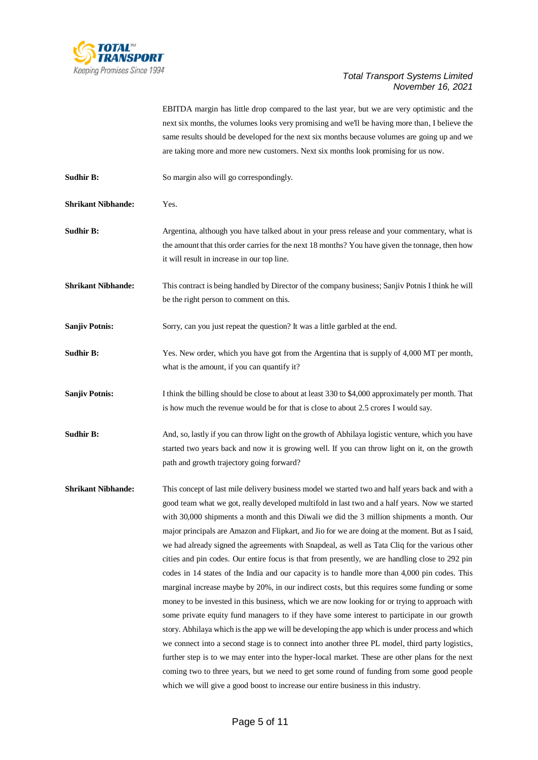

EBITDA margin has little drop compared to the last year, but we are very optimistic and the next six months, the volumes looks very promising and we'll be having more than, I believe the same results should be developed for the next six months because volumes are going up and we are taking more and more new customers. Next six months look promising for us now.

**Sudhir B:** So margin also will go correspondingly.

**Shrikant Nibhande:** Yes.

**Sudhir B:** Argentina, although you have talked about in your press release and your commentary, what is the amount that this order carries for the next 18 months? You have given the tonnage, then how it will result in increase in our top line.

**Shrikant Nibhande:** This contract is being handled by Director of the company business; Sanjiv Potnis I think he will be the right person to comment on this.

**Sanjiv Potnis:** Sorry, can you just repeat the question? It was a little garbled at the end.

**Sudhir B:** Yes. New order, which you have got from the Argentina that is supply of 4,000 MT per month, what is the amount, if you can quantify it?

**Sanjiv Potnis:** I think the billing should be close to about at least 330 to \$4,000 approximately per month. That is how much the revenue would be for that is close to about 2.5 crores I would say.

**Sudhir B:** And, so, lastly if you can throw light on the growth of Abhilaya logistic venture, which you have started two years back and now it is growing well. If you can throw light on it, on the growth path and growth trajectory going forward?

**Shrikant Nibhande:** This concept of last mile delivery business model we started two and half years back and with a good team what we got, really developed multifold in last two and a half years. Now we started with 30,000 shipments a month and this Diwali we did the 3 million shipments a month. Our major principals are Amazon and Flipkart, and Jio for we are doing at the moment. But as I said, we had already signed the agreements with Snapdeal, as well as Tata Cliq for the various other cities and pin codes. Our entire focus is that from presently, we are handling close to 292 pin codes in 14 states of the India and our capacity is to handle more than 4,000 pin codes. This marginal increase maybe by 20%, in our indirect costs, but this requires some funding or some money to be invested in this business, which we are now looking for or trying to approach with some private equity fund managers to if they have some interest to participate in our growth story. Abhilaya which is the app we will be developing the app which is under process and which we connect into a second stage is to connect into another three PL model, third party logistics, further step is to we may enter into the hyper-local market. These are other plans for the next coming two to three years, but we need to get some round of funding from some good people which we will give a good boost to increase our entire business in this industry.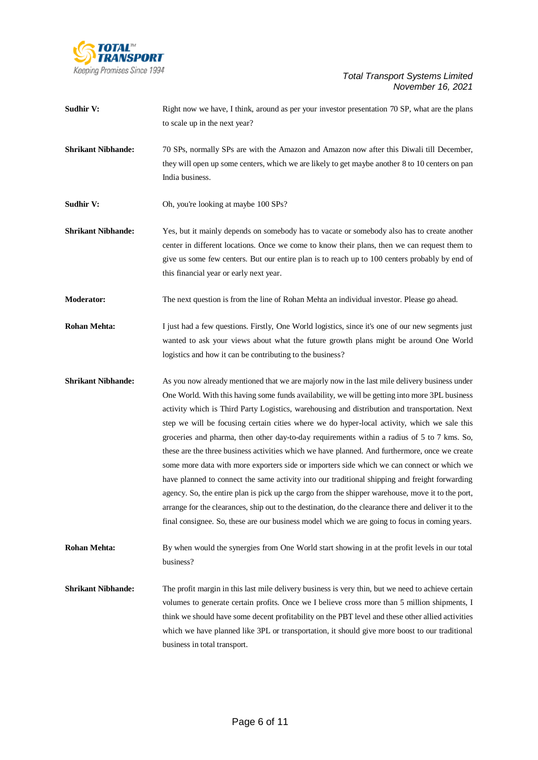

- **Sudhir V:** Right now we have, I think, around as per your investor presentation 70 SP, what are the plans to scale up in the next year?
- **Shrikant Nibhande:** 70 SPs, normally SPs are with the Amazon and Amazon now after this Diwali till December, they will open up some centers, which we are likely to get maybe another 8 to 10 centers on pan India business.
- **Sudhir V:** Oh, you're looking at maybe 100 SPs?
- **Shrikant Nibhande:** Yes, but it mainly depends on somebody has to vacate or somebody also has to create another center in different locations. Once we come to know their plans, then we can request them to give us some few centers. But our entire plan is to reach up to 100 centers probably by end of this financial year or early next year.
- **Moderator:** The next question is from the line of Rohan Mehta an individual investor. Please go ahead.
- **Rohan Mehta:** I just had a few questions. Firstly, One World logistics, since it's one of our new segments just wanted to ask your views about what the future growth plans might be around One World logistics and how it can be contributing to the business?
- **Shrikant Nibhande:** As you now already mentioned that we are majorly now in the last mile delivery business under One World. With this having some funds availability, we will be getting into more 3PL business activity which is Third Party Logistics, warehousing and distribution and transportation. Next step we will be focusing certain cities where we do hyper-local activity, which we sale this groceries and pharma, then other day-to-day requirements within a radius of 5 to 7 kms. So, these are the three business activities which we have planned. And furthermore, once we create some more data with more exporters side or importers side which we can connect or which we have planned to connect the same activity into our traditional shipping and freight forwarding agency. So, the entire plan is pick up the cargo from the shipper warehouse, move it to the port, arrange for the clearances, ship out to the destination, do the clearance there and deliver it to the final consignee. So, these are our business model which we are going to focus in coming years.
- **Rohan Mehta:** By when would the synergies from One World start showing in at the profit levels in our total business?
- **Shrikant Nibhande:** The profit margin in this last mile delivery business is very thin, but we need to achieve certain volumes to generate certain profits. Once we I believe cross more than 5 million shipments, I think we should have some decent profitability on the PBT level and these other allied activities which we have planned like 3PL or transportation, it should give more boost to our traditional business in total transport.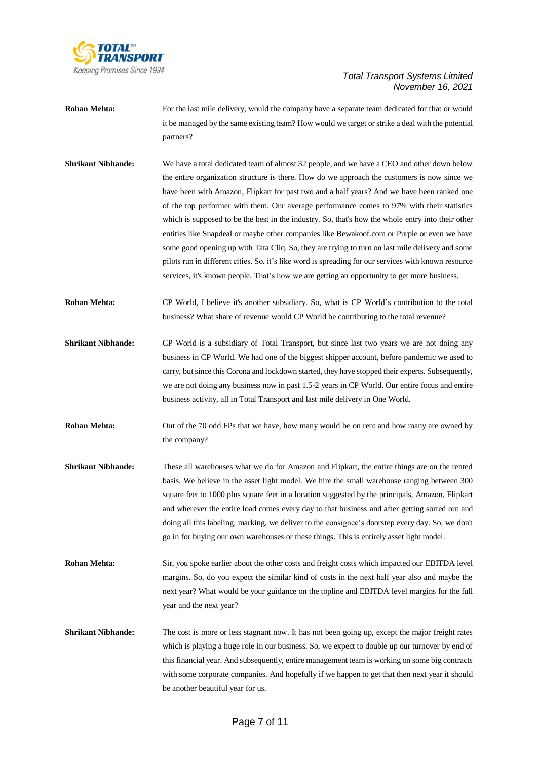

- **Rohan Mehta:** For the last mile delivery, would the company have a separate team dedicated for that or would it be managed by the same existing team? How would we target or strike a deal with the potential partners?
- **Shrikant Nibhande:** We have a total dedicated team of almost 32 people, and we have a CEO and other down below the entire organization structure is there. How do we approach the customers is now since we have been with Amazon, Flipkart for past two and a half years? And we have been ranked one of the top performer with them. Our average performance comes to 97% with their statistics which is supposed to be the best in the industry. So, that's how the whole entry into their other entities like Snapdeal or maybe other companies like Bewakoof.com or Purple or even we have some good opening up with Tata Cliq. So, they are trying to turn on last mile delivery and some pilots run in different cities. So, it's like word is spreading for our services with known resource services, it's known people. That's how we are getting an opportunity to get more business.
- **Rohan Mehta:** CP World, I believe it's another subsidiary. So, what is CP World's contribution to the total business? What share of revenue would CP World be contributing to the total revenue?
- **Shrikant Nibhande:** CP World is a subsidiary of Total Transport, but since last two years we are not doing any business in CP World. We had one of the biggest shipper account, before pandemic we used to carry, but since this Corona and lockdown started, they have stopped their experts. Subsequently, we are not doing any business now in past 1.5-2 years in CP World. Our entire focus and entire business activity, all in Total Transport and last mile delivery in One World.
- **Rohan Mehta:** Out of the 70 odd FPs that we have, how many would be on rent and how many are owned by the company?
- **Shrikant Nibhande:** These all warehouses what we do for Amazon and Flipkart, the entire things are on the rented basis. We believe in the asset light model. We hire the small warehouse ranging between 300 square feet to 1000 plus square feet in a location suggested by the principals, Amazon, Flipkart and wherever the entire load comes every day to that business and after getting sorted out and doing all this labeling, marking, we deliver to the consignee's doorstep every day. So, we don't go in for buying our own warehouses or these things. This is entirely asset light model.
- **Rohan Mehta:** Sir, you spoke earlier about the other costs and freight costs which impacted our EBITDA level margins. So, do you expect the similar kind of costs in the next half year also and maybe the next year? What would be your guidance on the topline and EBITDA level margins for the full year and the next year?
- **Shrikant Nibhande:** The cost is more or less stagnant now. It has not been going up, except the major freight rates which is playing a huge role in our business. So, we expect to double up our turnover by end of this financial year. And subsequently, entire management team is working on some big contracts with some corporate companies. And hopefully if we happen to get that then next year it should be another beautiful year for us.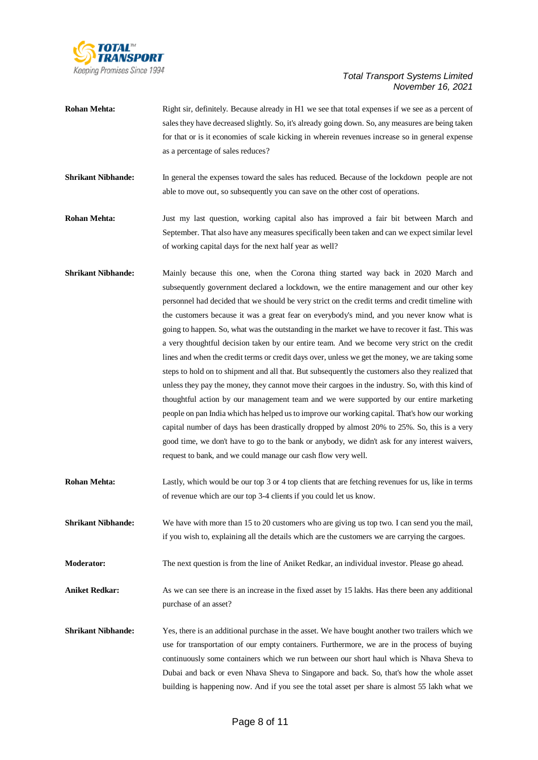

- **Rohan Mehta:** Right sir, definitely. Because already in H1 we see that total expenses if we see as a percent of sales they have decreased slightly. So, it's already going down. So, any measures are being taken for that or is it economies of scale kicking in wherein revenues increase so in general expense as a percentage of sales reduces?
- **Shrikant Nibhande:** In general the expenses toward the sales has reduced. Because of the lockdown people are not able to move out, so subsequently you can save on the other cost of operations.
- **Rohan Mehta:** Just my last question, working capital also has improved a fair bit between March and September. That also have any measures specifically been taken and can we expect similar level of working capital days for the next half year as well?
- **Shrikant Nibhande:** Mainly because this one, when the Corona thing started way back in 2020 March and subsequently government declared a lockdown, we the entire management and our other key personnel had decided that we should be very strict on the credit terms and credit timeline with the customers because it was a great fear on everybody's mind, and you never know what is going to happen. So, what was the outstanding in the market we have to recover it fast. This was a very thoughtful decision taken by our entire team. And we become very strict on the credit lines and when the credit terms or credit days over, unless we get the money, we are taking some steps to hold on to shipment and all that. But subsequently the customers also they realized that unless they pay the money, they cannot move their cargoes in the industry. So, with this kind of thoughtful action by our management team and we were supported by our entire marketing people on pan India which has helped us to improve our working capital. That's how our working capital number of days has been drastically dropped by almost 20% to 25%. So, this is a very good time, we don't have to go to the bank or anybody, we didn't ask for any interest waivers, request to bank, and we could manage our cash flow very well.
- **Rohan Mehta:** Lastly, which would be our top 3 or 4 top clients that are fetching revenues for us, like in terms of revenue which are our top 3-4 clients if you could let us know.
- **Shrikant Nibhande:** We have with more than 15 to 20 customers who are giving us top two. I can send you the mail, if you wish to, explaining all the details which are the customers we are carrying the cargoes.
- **Moderator:** The next question is from the line of Aniket Redkar, an individual investor. Please go ahead.
- **Aniket Redkar:** As we can see there is an increase in the fixed asset by 15 lakhs. Has there been any additional purchase of an asset?
- **Shrikant Nibhande:** Yes, there is an additional purchase in the asset. We have bought another two trailers which we use for transportation of our empty containers. Furthermore, we are in the process of buying continuously some containers which we run between our short haul which is Nhava Sheva to Dubai and back or even Nhava Sheva to Singapore and back. So, that's how the whole asset building is happening now. And if you see the total asset per share is almost 55 lakh what we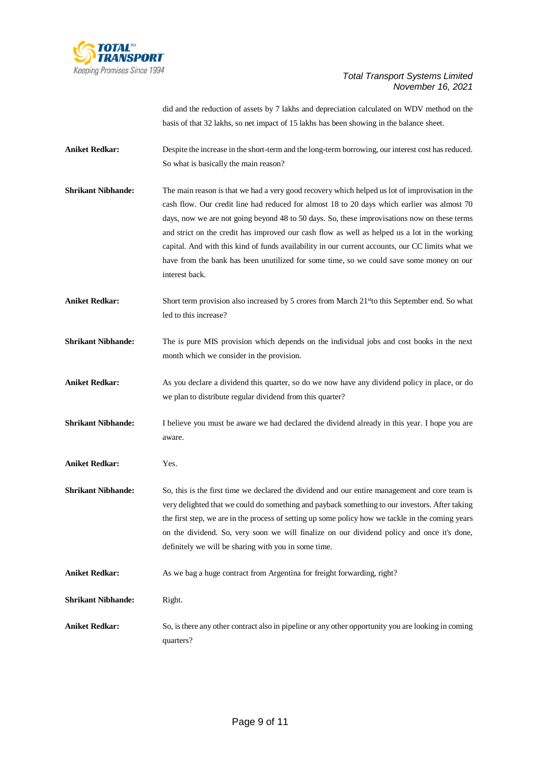

did and the reduction of assets by 7 lakhs and depreciation calculated on WDV method on the basis of that 32 lakhs, so net impact of 15 lakhs has been showing in the balance sheet.

**Aniket Redkar:** Despite the increase in the short-term and the long-term borrowing, our interest cost has reduced. So what is basically the main reason?

**Shrikant Nibhande:** The main reason is that we had a very good recovery which helped us lot of improvisation in the cash flow. Our credit line had reduced for almost 18 to 20 days which earlier was almost 70 days, now we are not going beyond 48 to 50 days. So, these improvisations now on these terms and strict on the credit has improved our cash flow as well as helped us a lot in the working capital. And with this kind of funds availability in our current accounts, our CC limits what we have from the bank has been unutilized for some time, so we could save some money on our interest back.

Aniket Redkar: Short term provision also increased by 5 crores from March 21<sup>st</sup>to this September end. So what led to this increase?

- **Shrikant Nibhande:** The is pure MIS provision which depends on the individual jobs and cost books in the next month which we consider in the provision.
- Aniket Redkar: As you declare a dividend this quarter, so do we now have any dividend policy in place, or do we plan to distribute regular dividend from this quarter?
- **Shrikant Nibhande:** I believe you must be aware we had declared the dividend already in this year. I hope you are aware.

**Aniket Redkar:** Yes.

**Shrikant Nibhande:** So, this is the first time we declared the dividend and our entire management and core team is very delighted that we could do something and payback something to our investors. After taking the first step, we are in the process of setting up some policy how we tackle in the coming years on the dividend. So, very soon we will finalize on our dividend policy and once it's done, definitely we will be sharing with you in some time.

Aniket Redkar: As we bag a huge contract from Argentina for freight forwarding, right?

**Shrikant Nibhande:** Right.

**Aniket Redkar:** So, isthere any other contract also in pipeline or any other opportunity you are looking in coming quarters?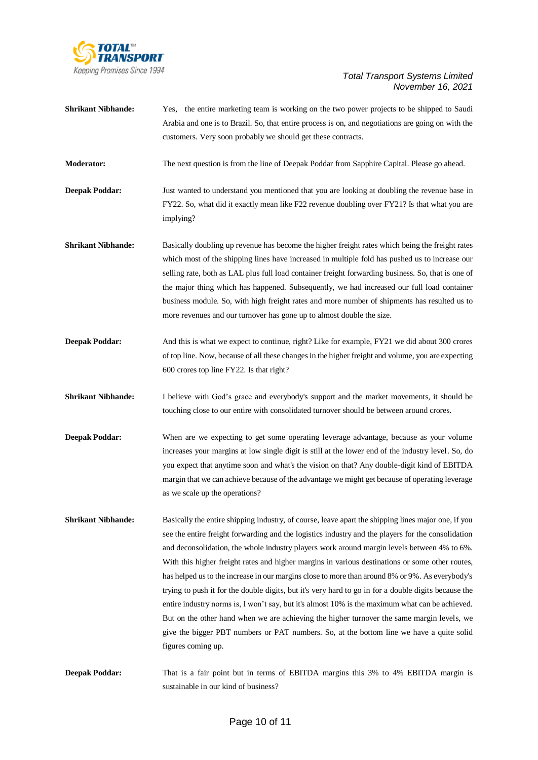

| <b>Shrikant Nibhande:</b> | Yes, the entire marketing team is working on the two power projects to be shipped to Saudi<br>Arabia and one is to Brazil. So, that entire process is on, and negotiations are going on with the<br>customers. Very soon probably we should get these contracts.                                                                                                                                                                                                                                                                                                                                                                                                                                                                                                                                                                                                                                                                          |
|---------------------------|-------------------------------------------------------------------------------------------------------------------------------------------------------------------------------------------------------------------------------------------------------------------------------------------------------------------------------------------------------------------------------------------------------------------------------------------------------------------------------------------------------------------------------------------------------------------------------------------------------------------------------------------------------------------------------------------------------------------------------------------------------------------------------------------------------------------------------------------------------------------------------------------------------------------------------------------|
| <b>Moderator:</b>         | The next question is from the line of Deepak Poddar from Sapphire Capital. Please go ahead.                                                                                                                                                                                                                                                                                                                                                                                                                                                                                                                                                                                                                                                                                                                                                                                                                                               |
| <b>Deepak Poddar:</b>     | Just wanted to understand you mentioned that you are looking at doubling the revenue base in<br>FY22. So, what did it exactly mean like F22 revenue doubling over FY21? Is that what you are<br>implying?                                                                                                                                                                                                                                                                                                                                                                                                                                                                                                                                                                                                                                                                                                                                 |
| <b>Shrikant Nibhande:</b> | Basically doubling up revenue has become the higher freight rates which being the freight rates<br>which most of the shipping lines have increased in multiple fold has pushed us to increase our<br>selling rate, both as LAL plus full load container freight forwarding business. So, that is one of<br>the major thing which has happened. Subsequently, we had increased our full load container<br>business module. So, with high freight rates and more number of shipments has resulted us to<br>more revenues and our turnover has gone up to almost double the size.                                                                                                                                                                                                                                                                                                                                                            |
| <b>Deepak Poddar:</b>     | And this is what we expect to continue, right? Like for example, FY21 we did about 300 crores<br>of top line. Now, because of all these changes in the higher freight and volume, you are expecting<br>600 crores top line FY22. Is that right?                                                                                                                                                                                                                                                                                                                                                                                                                                                                                                                                                                                                                                                                                           |
| <b>Shrikant Nibhande:</b> | I believe with God's grace and everybody's support and the market movements, it should be<br>touching close to our entire with consolidated turnover should be between around crores.                                                                                                                                                                                                                                                                                                                                                                                                                                                                                                                                                                                                                                                                                                                                                     |
| <b>Deepak Poddar:</b>     | When are we expecting to get some operating leverage advantage, because as your volume<br>increases your margins at low single digit is still at the lower end of the industry level. So, do<br>you expect that anytime soon and what's the vision on that? Any double-digit kind of EBITDA<br>margin that we can achieve because of the advantage we might get because of operating leverage<br>as we scale up the operations?                                                                                                                                                                                                                                                                                                                                                                                                                                                                                                           |
| <b>Shrikant Nibhande:</b> | Basically the entire shipping industry, of course, leave apart the shipping lines major one, if you<br>see the entire freight forwarding and the logistics industry and the players for the consolidation<br>and deconsolidation, the whole industry players work around margin levels between 4% to 6%.<br>With this higher freight rates and higher margins in various destinations or some other routes,<br>has helped us to the increase in our margins close to more than around 8% or 9%. As everybody's<br>trying to push it for the double digits, but it's very hard to go in for a double digits because the<br>entire industry norms is, I won't say, but it's almost 10% is the maximum what can be achieved.<br>But on the other hand when we are achieving the higher turnover the same margin levels, we<br>give the bigger PBT numbers or PAT numbers. So, at the bottom line we have a quite solid<br>figures coming up. |
| <b>Deepak Poddar:</b>     | That is a fair point but in terms of EBITDA margins this 3% to 4% EBITDA margin is<br>sustainable in our kind of business?                                                                                                                                                                                                                                                                                                                                                                                                                                                                                                                                                                                                                                                                                                                                                                                                                |